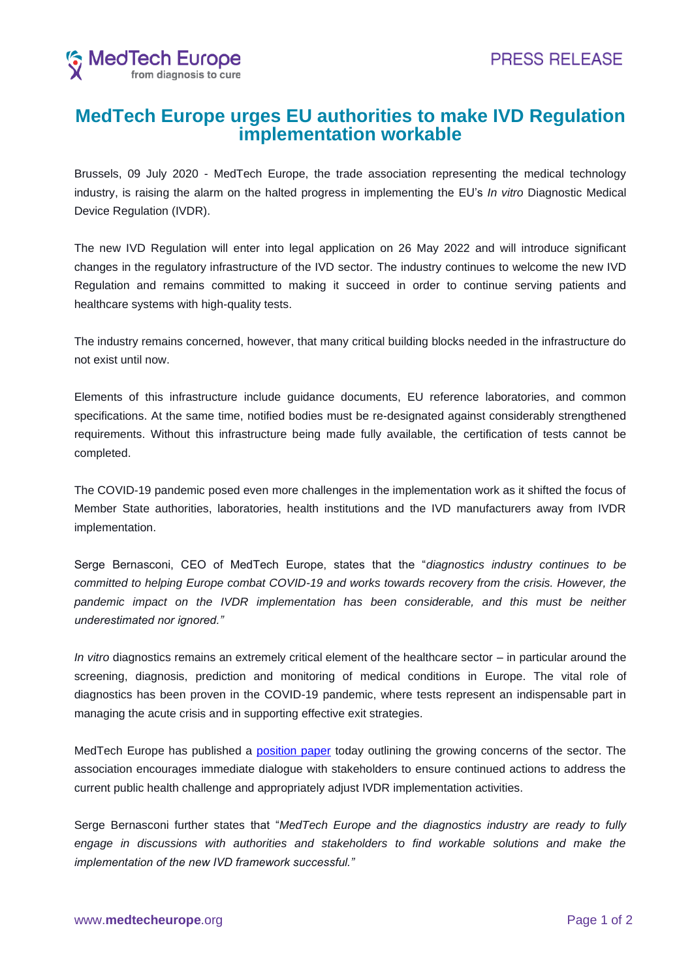

## **MedTech Europe urges EU authorities to make IVD Regulation implementation workable**

Brussels, 09 July 2020 - MedTech Europe, the trade association representing the medical technology industry, is raising the alarm on the halted progress in implementing the EU's *In vitro* Diagnostic Medical Device Regulation (IVDR).

The new IVD Regulation will enter into legal application on 26 May 2022 and will introduce significant changes in the regulatory infrastructure of the IVD sector. The industry continues to welcome the new IVD Regulation and remains committed to making it succeed in order to continue serving patients and healthcare systems with high-quality tests.

The industry remains concerned, however, that many critical building blocks needed in the infrastructure do not exist until now.

Elements of this infrastructure include guidance documents, EU reference laboratories, and common specifications. At the same time, notified bodies must be re-designated against considerably strengthened requirements. Without this infrastructure being made fully available, the certification of tests cannot be completed.

The COVID-19 pandemic posed even more challenges in the implementation work as it shifted the focus of Member State authorities, laboratories, health institutions and the IVD manufacturers away from IVDR implementation.

Serge Bernasconi, CEO of MedTech Europe, states that the "*diagnostics industry continues to be committed to helping Europe combat COVID-19 and works towards recovery from the crisis. However, the*  pandemic impact on the IVDR implementation has been considerable, and this must be neither *underestimated nor ignored."*

*In vitro* diagnostics remains an extremely critical element of the healthcare sector – in particular around the screening, diagnosis, prediction and monitoring of medical conditions in Europe. The vital role of diagnostics has been proven in the COVID-19 pandemic, where tests represent an indispensable part in managing the acute crisis and in supporting effective exit strategies.

MedTech Europe has published a [position paper](https://www.medtecheurope.org/resource-library/ensuring-a-successful-transition-to-the-new-ivd-regulation-in-light-of-covid-19/) today outlining the growing concerns of the sector. The association encourages immediate dialogue with stakeholders to ensure continued actions to address the current public health challenge and appropriately adjust IVDR implementation activities.

Serge Bernasconi further states that "*MedTech Europe and the diagnostics industry are ready to fully engage in discussions with authorities and stakeholders to find workable solutions and make the implementation of the new IVD framework successful."*